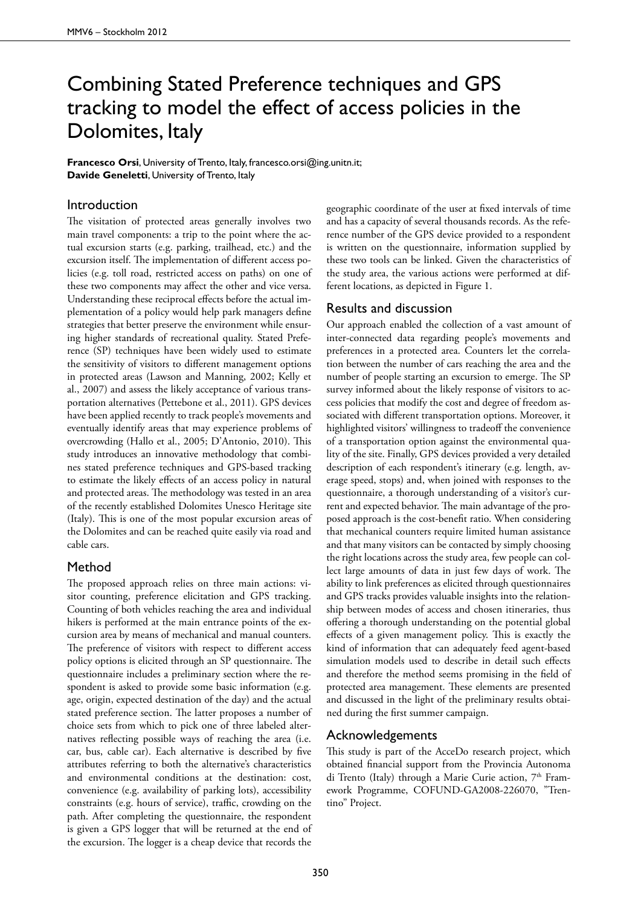# Combining Stated Preference techniques and GPS tracking to model the effect of access policies in the Dolomites, Italy

**Francesco Orsi**, University of Trento, Italy, francesco.orsi@ing.unitn.it; **Davide Geneletti**, University of Trento, Italy

## Introduction

The visitation of protected areas generally involves two main travel components: a trip to the point where the actual excursion starts (e.g. parking, trailhead, etc.) and the excursion itself. The implementation of different access policies (e.g. toll road, restricted access on paths) on one of these two components may affect the other and vice versa. Understanding these reciprocal effects before the actual implementation of a policy would help park managers define strategies that better preserve the environment while ensuring higher standards of recreational quality. Stated Preference (SP) techniques have been widely used to estimate the sensitivity of visitors to different management options in protected areas (Lawson and Manning, 2002; Kelly et al., 2007) and assess the likely acceptance of various transportation alternatives (Pettebone et al., 2011). GPS devices have been applied recently to track people's movements and eventually identify areas that may experience problems of overcrowding (Hallo et al., 2005; D'Antonio, 2010). This study introduces an innovative methodology that combines stated preference techniques and GPS-based tracking to estimate the likely effects of an access policy in natural and protected areas. The methodology was tested in an area of the recently established Dolomites Unesco Heritage site (Italy). This is one of the most popular excursion areas of the Dolomites and can be reached quite easily via road and cable cars.

#### Method

The proposed approach relies on three main actions: visitor counting, preference elicitation and GPS tracking. Counting of both vehicles reaching the area and individual hikers is performed at the main entrance points of the excursion area by means of mechanical and manual counters. The preference of visitors with respect to different access policy options is elicited through an SP questionnaire. The questionnaire includes a preliminary section where the respondent is asked to provide some basic information (e.g. age, origin, expected destination of the day) and the actual stated preference section. The latter proposes a number of choice sets from which to pick one of three labeled alternatives reflecting possible ways of reaching the area (i.e. car, bus, cable car). Each alternative is described by five attributes referring to both the alternative's characteristics and environmental conditions at the destination: cost, convenience (e.g. availability of parking lots), accessibility constraints (e.g. hours of service), traffic, crowding on the path. After completing the questionnaire, the respondent is given a GPS logger that will be returned at the end of the excursion. The logger is a cheap device that records the

geographic coordinate of the user at fixed intervals of time and has a capacity of several thousands records. As the reference number of the GPS device provided to a respondent is written on the questionnaire, information supplied by these two tools can be linked. Given the characteristics of the study area, the various actions were performed at different locations, as depicted in Figure 1.

## Results and discussion

Our approach enabled the collection of a vast amount of inter-connected data regarding people's movements and preferences in a protected area. Counters let the correlation between the number of cars reaching the area and the number of people starting an excursion to emerge. The SP survey informed about the likely response of visitors to access policies that modify the cost and degree of freedom associated with different transportation options. Moreover, it highlighted visitors' willingness to tradeoff the convenience of a transportation option against the environmental quality of the site. Finally, GPS devices provided a very detailed description of each respondent's itinerary (e.g. length, average speed, stops) and, when joined with responses to the questionnaire, a thorough understanding of a visitor's current and expected behavior. The main advantage of the proposed approach is the cost-benefit ratio. When considering that mechanical counters require limited human assistance and that many visitors can be contacted by simply choosing the right locations across the study area, few people can collect large amounts of data in just few days of work. The ability to link preferences as elicited through questionnaires and GPS tracks provides valuable insights into the relationship between modes of access and chosen itineraries, thus offering a thorough understanding on the potential global effects of a given management policy. This is exactly the kind of information that can adequately feed agent-based simulation models used to describe in detail such effects and therefore the method seems promising in the field of protected area management. These elements are presented and discussed in the light of the preliminary results obtained during the first summer campaign.

### Acknowledgements

This study is part of the AcceDo research project, which obtained financial support from the Provincia Autonoma di Trento (Italy) through a Marie Curie action, 7<sup>th</sup> Framework Programme, COFUND-GA2008-226070, "Trentino" Project.